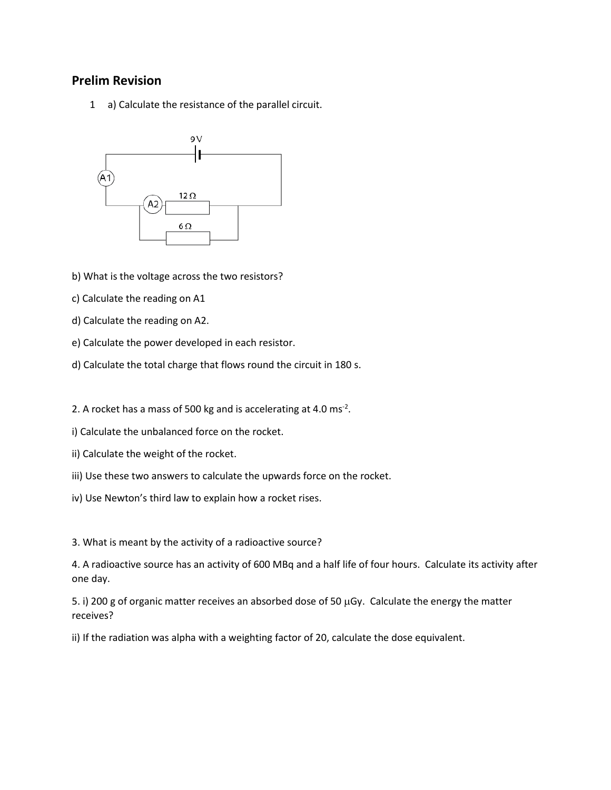## **Prelim Revision**

1 a) Calculate the resistance of the parallel circuit.



b) What is the voltage across the two resistors?

- c) Calculate the reading on A1
- d) Calculate the reading on A2.
- e) Calculate the power developed in each resistor.
- d) Calculate the total charge that flows round the circuit in 180 s.

2. A rocket has a mass of 500 kg and is accelerating at 4.0 ms<sup>-2</sup>.

- i) Calculate the unbalanced force on the rocket.
- ii) Calculate the weight of the rocket.
- iii) Use these two answers to calculate the upwards force on the rocket.
- iv) Use Newton's third law to explain how a rocket rises.

3. What is meant by the activity of a radioactive source?

4. A radioactive source has an activity of 600 MBq and a half life of four hours. Calculate its activity after one day.

5. i) 200 g of organic matter receives an absorbed dose of 50 µGy. Calculate the energy the matter receives?

ii) If the radiation was alpha with a weighting factor of 20, calculate the dose equivalent.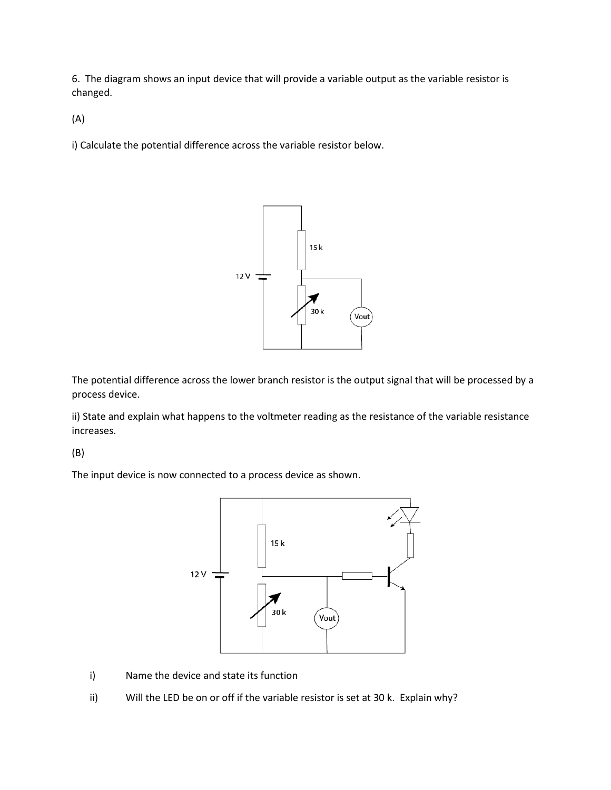6. The diagram shows an input device that will provide a variable output as the variable resistor is changed.

(A)

i) Calculate the potential difference across the variable resistor below.



The potential difference across the lower branch resistor is the output signal that will be processed by a process device.

ii) State and explain what happens to the voltmeter reading as the resistance of the variable resistance increases.

(B)

The input device is now connected to a process device as shown.



- i) Name the device and state its function
- ii) Will the LED be on or off if the variable resistor is set at 30 k. Explain why?